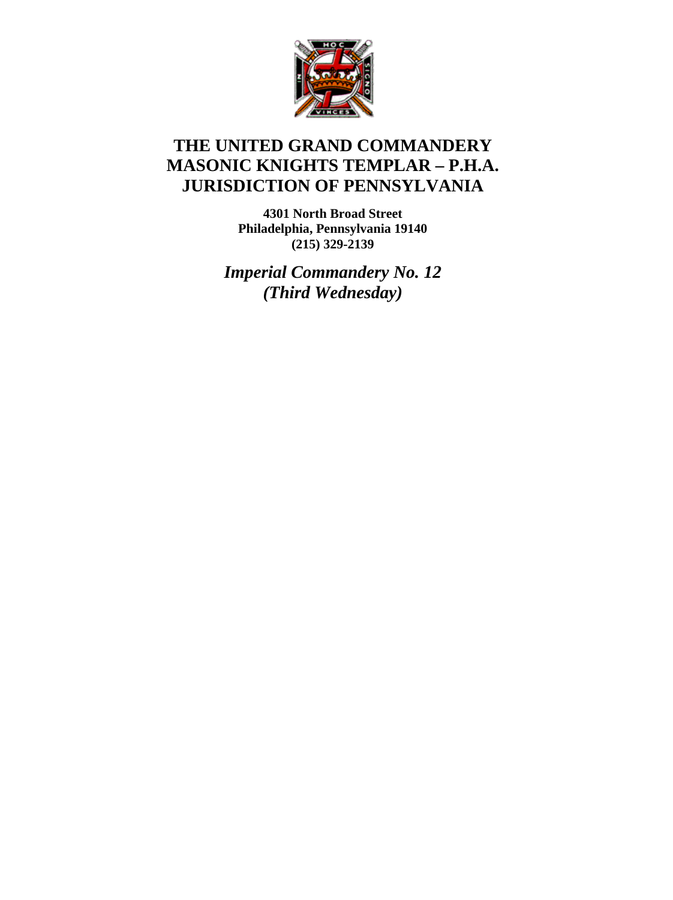

## **THE UNITED GRAND COMMANDERY MASONIC KNIGHTS TEMPLAR – P.H.A. JURISDICTION OF PENNSYLVANIA**

**4301 North Broad Street Philadelphia, Pennsylvania 19140 (215) 329-2139** 

*Imperial Commandery No. 12 (Third Wednesday)*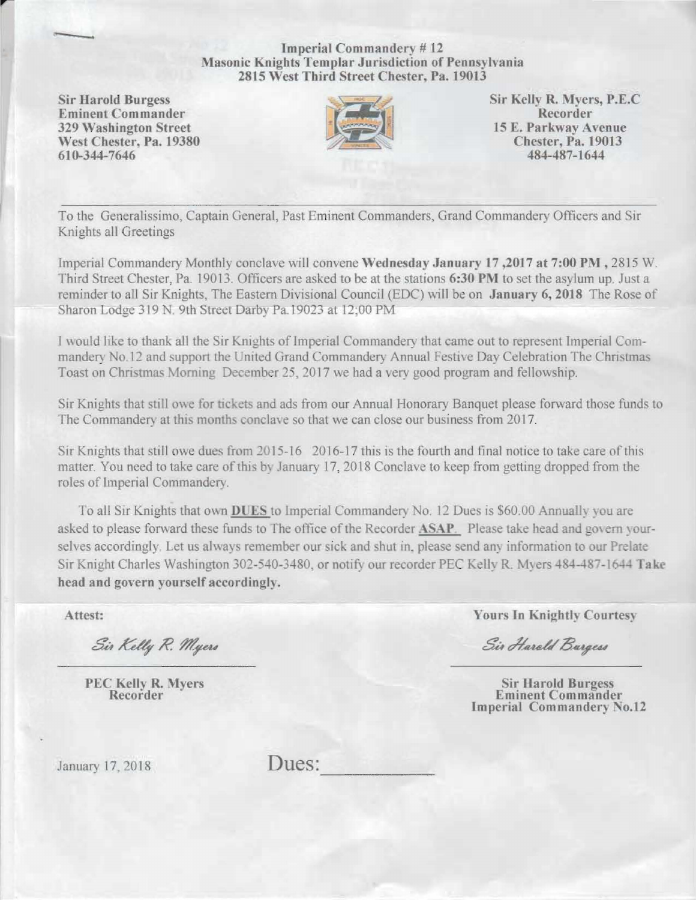Imperial Commandery # 12 Masonic Knights Templar Jurisdiction of Pennsylvania 2815 West Third Street Chester, Pa. 19013

Eminent Commander Recorder Recorder Recorder Recorder Recorder Recorder Recorder Recorder Recorder Recorder Recorder Recorder Recorder Recorder Recorder Recorder Recorder Recorder Recorder Recorder Recorder Recorder Record 329 Washington Street 15 E. Parkway Avenue<br>West Chester, Pa. 19380 Chester, Pa. 19013 West Chester, Pa. 19380 Chester. Pa. 19380 Chester. Pa. 1901 610-344-7646

-



Sir Harold Burgess Sir Kelly R. Myers, P.E.C<br>
Eminent Commander Recorder

To the Generalissimo, Captain General, Past Eminent Commanders, Grand Commandery Officers and Sir Knights all Greetings

Imperial Commandery Monthly conclave will convene Wednesday January 17,2017 at 7:00 PM, 2815 W. Third Street Chester, Pa. 19013. Officers are asked to be at the stations 6:30 PM to set the asylum up. Just a reminder to all Sir Knights. The Eastern Divisional Council (EDC) will be on January 6, 2018 The Rose of Sharon Lodge 319 N. 9th Street Darby Pa 19023 at 12:00 PM

I would like to thank all the Sir Knights of Imperial Commandery that came out to represent Imperial Commandery No.12 and support the United Grand Commandery Annual Festive Day Celebration The Christmas Toast on Christmas Morning December 25, 2017 we had a very good program and fellowship.

Sir Knights that still owe for tickets and ads from our Annual Honorary Banquet please forward those funds to The Commandery at this months conclave so that we can close our business from 2017.

Sir Knights that still owe dues from 2015-16 2016-17 this is the fourth and final notice to take care of this matter. You need to take care of this by January 17, 2018 Conclave to keep from getting dropped from the roles of Imperial Commandery.

To all Sir Knights that own **DUES** to Imperial Commandery No. 12 Dues is \$60.00 Annually you are asked to please forward these funds to The office of the Recorder **ASAP**. Please take head and govern yourselves accordingly. Let us always remember our sick and shut in, please send any information to our Prelate Sir Knight Charles Washington 302-540-3480, or notify our recorder PEC Kelly R. Myers 484-487-1644 Take head and govern yourself accordingly,

Sir Kelly R. Myers

Attest: Yours In Knightly Courtesy

Sir Harold Burgess

PEC Kelly R. Myers Sir Harold Burgess<br>
Recorder Eminent Commander Imperial Commandery No.12

January 17, 2018 Dues: